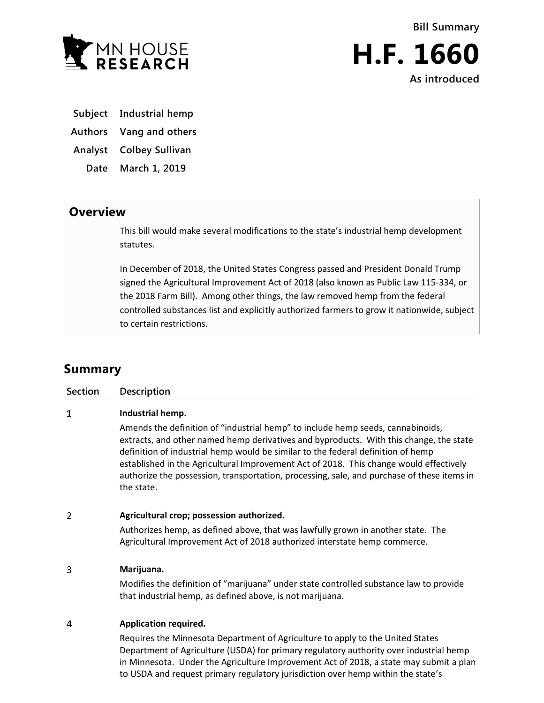

**Bill Summary H.F. 1660 As introduced**

**Subject Industrial hemp**

**Authors Vang and others**

**Analyst Colbey Sullivan**

**Date March 1, 2019**

## **Overview**

This bill would make several modifications to the state's industrial hemp development statutes.

In December of 2018, the United States Congress passed and President Donald Trump signed the Agricultural Improvement Act of 2018 (also known as Public Law 115-334, or the 2018 Farm Bill). Among other things, the law removed hemp from the federal controlled substances list and explicitly authorized farmers to grow it nationwide, subject to certain restrictions.

## **Summary**

| <b>Section</b> | Description                                                                                                                                                                                                                                                                                                                                                                                                                                                                             |
|----------------|-----------------------------------------------------------------------------------------------------------------------------------------------------------------------------------------------------------------------------------------------------------------------------------------------------------------------------------------------------------------------------------------------------------------------------------------------------------------------------------------|
| 1              | Industrial hemp.<br>Amends the definition of "industrial hemp" to include hemp seeds, cannabinoids,<br>extracts, and other named hemp derivatives and byproducts. With this change, the state<br>definition of industrial hemp would be similar to the federal definition of hemp<br>established in the Agricultural Improvement Act of 2018. This change would effectively<br>authorize the possession, transportation, processing, sale, and purchase of these items in<br>the state. |
| $\mathcal{P}$  | Agricultural crop; possession authorized.<br>Authorizes hemp, as defined above, that was lawfully grown in another state. The<br>Agricultural Improvement Act of 2018 authorized interstate hemp commerce.                                                                                                                                                                                                                                                                              |
| 3              | Marijuana.<br>Modifies the definition of "marijuana" under state controlled substance law to provide<br>that industrial hemp, as defined above, is not marijuana.                                                                                                                                                                                                                                                                                                                       |
| 4              | <b>Application required.</b><br>Requires the Minnesota Department of Agriculture to apply to the United States                                                                                                                                                                                                                                                                                                                                                                          |

Department of Agriculture (USDA) for primary regulatory authority over industrial hemp in Minnesota. Under the Agriculture Improvement Act of 2018, a state may submit a plan to USDA and request primary regulatory jurisdiction over hemp within the state's